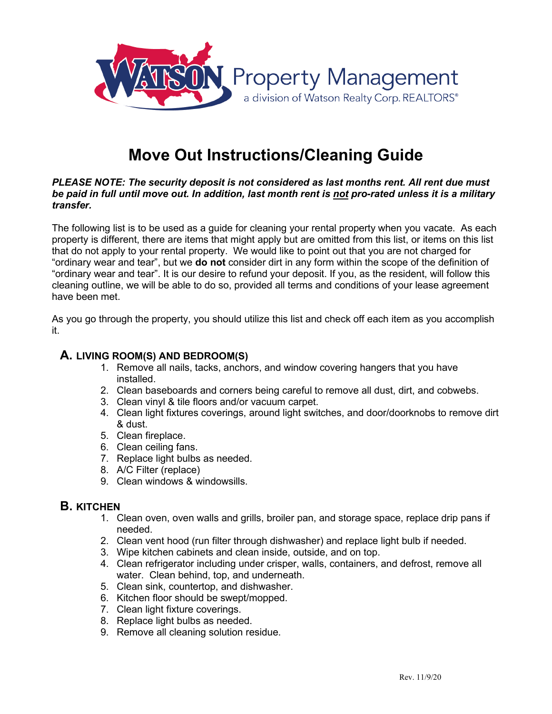

# **Move Out Instructions/Cleaning Guide**

#### *PLEASE NOTE: The security deposit is not considered as last months rent. All rent due must be paid in full until move out. In addition, last month rent is not pro-rated unless it is a military transfer.*

The following list is to be used as a guide for cleaning your rental property when you vacate. As each property is different, there are items that might apply but are omitted from this list, or items on this list that do not apply to your rental property. We would like to point out that you are not charged for "ordinary wear and tear", but we **do not** consider dirt in any form within the scope of the definition of "ordinary wear and tear". It is our desire to refund your deposit. If you, as the resident, will follow this cleaning outline, we will be able to do so, provided all terms and conditions of your lease agreement have been met.

As you go through the property, you should utilize this list and check off each item as you accomplish it.

#### **A. LIVING ROOM(S) AND BEDROOM(S)**

- 1. Remove all nails, tacks, anchors, and window covering hangers that you have installed.
- 2. Clean baseboards and corners being careful to remove all dust, dirt, and cobwebs.
- 3. Clean vinyl & tile floors and/or vacuum carpet.
- 4. Clean light fixtures coverings, around light switches, and door/doorknobs to remove dirt & dust.
- 5. Clean fireplace.
- 6. Clean ceiling fans.
- 7. Replace light bulbs as needed.
- 8. A/C Filter (replace)
- 9. Clean windows & windowsills.

#### **B. KITCHEN**

- 1. Clean oven, oven walls and grills, broiler pan, and storage space, replace drip pans if needed.
- 2. Clean vent hood (run filter through dishwasher) and replace light bulb if needed.
- 3. Wipe kitchen cabinets and clean inside, outside, and on top.
- 4. Clean refrigerator including under crisper, walls, containers, and defrost, remove all water. Clean behind, top, and underneath.
- 5. Clean sink, countertop, and dishwasher.
- 6. Kitchen floor should be swept/mopped.
- 7. Clean light fixture coverings.
- 8. Replace light bulbs as needed.
- 9. Remove all cleaning solution residue.